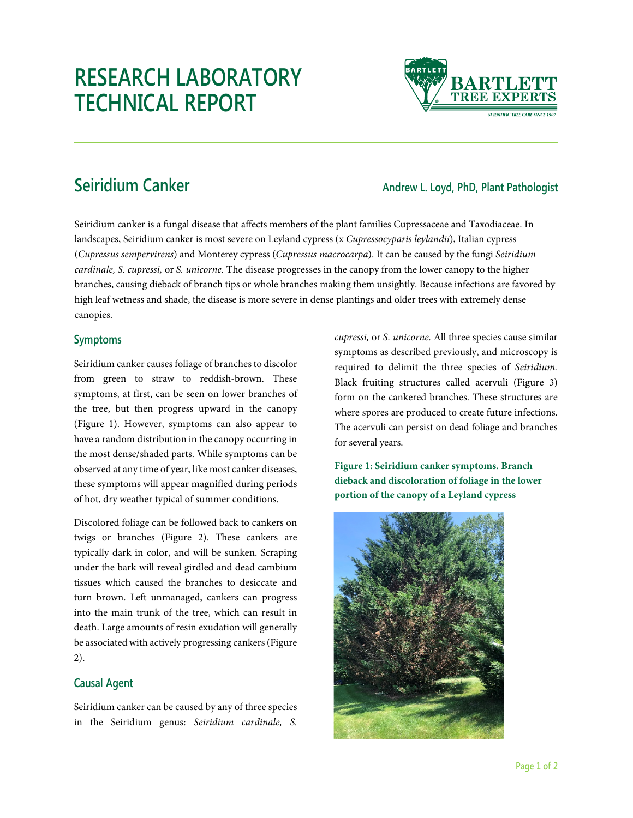# **RESEARCH LABORATORY TECHNICAL REPORT**



## **Seiridium Canker Andrew L. Loyd, PhD, Plant Pathologist**

Seiridium canker is a fungal disease that affects members of the plant families Cupressaceae and Taxodiaceae. In landscapes, Seiridium canker is most severe on Leyland cypress (x *Cupressocyparis leylandii*), Italian cypress (*Cupressus sempervirens*) and Monterey cypress (*Cupressus macrocarpa*). It can be caused by the fungi *Seiridium cardinale, S. cupressi,* or *S. unicorne.* The disease progresses in the canopy from the lower canopy to the higher branches, causing dieback of branch tips or whole branches making them unsightly. Because infections are favored by high leaf wetness and shade, the disease is more severe in dense plantings and older trees with extremely dense canopies.

#### **Symptoms**

Seiridium canker causes foliage of branches to discolor from green to straw to reddish-brown. These symptoms, at first, can be seen on lower branches of the tree, but then progress upward in the canopy (Figure 1). However, symptoms can also appear to have a random distribution in the canopy occurring in the most dense/shaded parts. While symptoms can be observed at any time of year, like most canker diseases, these symptoms will appear magnified during periods of hot, dry weather typical of summer conditions.

Discolored foliage can be followed back to cankers on twigs or branches (Figure 2). These cankers are typically dark in color, and will be sunken. Scraping under the bark will reveal girdled and dead cambium tissues which caused the branches to desiccate and turn brown. Left unmanaged, cankers can progress into the main trunk of the tree, which can result in death. Large amounts of resin exudation will generally be associated with actively progressing cankers(Figure 2).

### **Causal Agent**

Seiridium canker can be caused by any of three species in the Seiridium genus: *Seiridium cardinale, S.* 

*cupressi,* or *S. unicorne.* All three species cause similar symptoms as described previously, and microscopy is required to delimit the three species of *Seiridium.*  Black fruiting structures called acervuli (Figure 3) form on the cankered branches. These structures are where spores are produced to create future infections. The acervuli can persist on dead foliage and branches for several years.

**Figure 1: Seiridium canker symptoms. Branch dieback and discoloration of foliage in the lower portion of the canopy of a Leyland cypress**